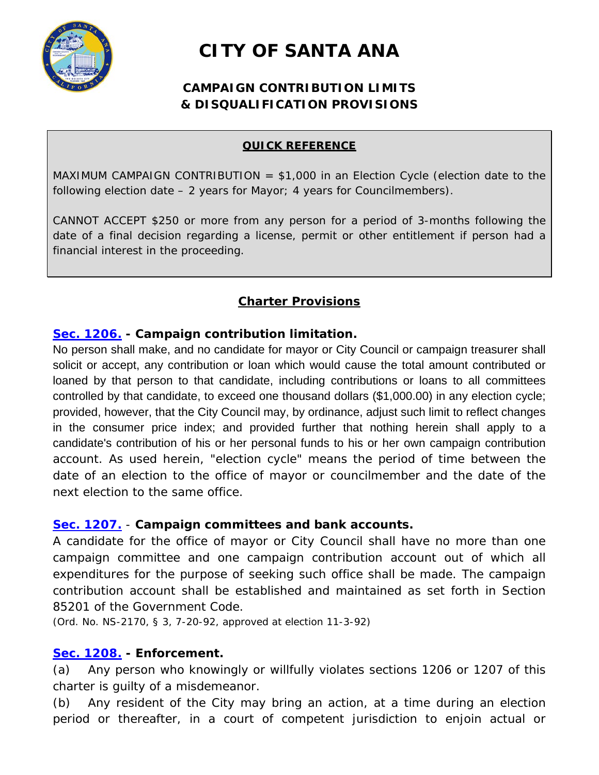

# **CITY OF SANTA ANA**

## **CAMPAIGN CONTRIBUTION LIMITS & DISQUALIFICATION PROVISIONS**

#### **QUICK REFERENCE**

MAXIMUM CAMPAIGN CONTRIBUTION  $=$  \$1,000 in an Election Cycle (election date to the following election date – 2 years for Mayor; 4 years for Councilmembers).

CANNOT ACCEPT \$250 or more from any person for a period of 3-months following the date of a final decision regarding a license, permit or other entitlement if person had a financial interest in the proceeding.

## **Charter Provisions**

#### **[Sec. 1206.](javascript:void(0)) - Campaign contribution limitation.**

No person shall make, and no candidate for mayor or City Council or campaign treasurer shall solicit or accept, any contribution or loan which would cause the total amount contributed or loaned by that person to that candidate, including contributions or loans to all committees controlled by that candidate, to exceed one thousand dollars (\$1,000.00) in any election cycle; provided, however, that the City Council may, by ordinance, adjust such limit to reflect changes in the consumer price index; and provided further that nothing herein shall apply to a candidate's contribution of his or her personal funds to his or her own campaign contribution account. As used herein, "election cycle" means the period of time between the date of an election to the office of mayor or councilmember and the date of the next election to the same office.

#### **Sec. 1207.** - **Campaign committees and bank accounts.**

A candidate for the office of mayor or City Council shall have no more than one campaign committee and one campaign contribution account out of which all expenditures for the purpose of seeking such office shall be made. The campaign contribution account shall be established and maintained as set forth in Section 85201 of the Government Code.

(Ord. No. NS-2170, § 3, 7-20-92, approved at election 11-3-92)

#### **Sec. 1208. - Enforcement.**

(a) Any person who knowingly or willfully violates sections 1206 or 1207 of this charter is guilty of a misdemeanor.

(b) Any resident of the City may bring an action, at a time during an election period or thereafter, in a court of competent jurisdiction to enjoin actual or